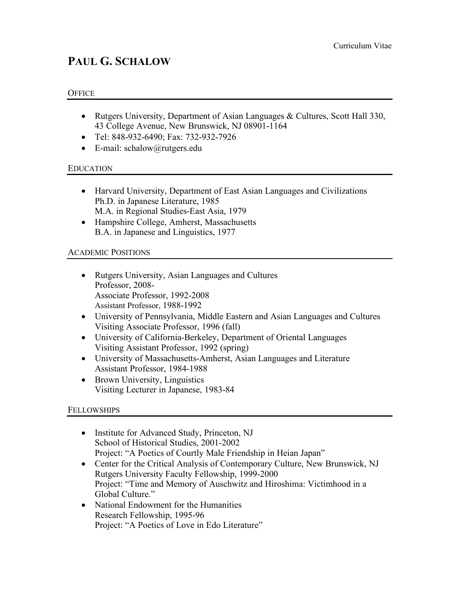# **PAUL G. SCHALOW**

#### **OFFICE**

- Rutgers University, Department of Asian Languages & Cultures, Scott Hall 330, 43 College Avenue, New Brunswick, NJ 08901-1164
- Tel: 848-932-6490; Fax: 732-932-7926
- E-mail: schalow@rutgers.edu

#### EDUCATION

- Harvard University, Department of East Asian Languages and Civilizations Ph.D. in Japanese Literature, 1985 M.A. in Regional Studies-East Asia, 1979
- Hampshire College, Amherst, Massachusetts B.A. in Japanese and Linguistics, 1977

# ACADEMIC POSITIONS

- Rutgers University, Asian Languages and Cultures Professor, 2008- Associate Professor, 1992-2008 Assistant Professor, 1988-1992
- University of Pennsylvania, Middle Eastern and Asian Languages and Cultures Visiting Associate Professor, 1996 (fall)
- University of California-Berkeley, Department of Oriental Languages Visiting Assistant Professor, 1992 (spring)
- University of Massachusetts-Amherst, Asian Languages and Literature Assistant Professor, 1984-1988
- Brown University, Linguistics Visiting Lecturer in Japanese, 1983-84

# **FELLOWSHIPS**

- Institute for Advanced Study, Princeton, NJ School of Historical Studies, 2001-2002 Project: "A Poetics of Courtly Male Friendship in Heian Japan"
- Center for the Critical Analysis of Contemporary Culture, New Brunswick, NJ Rutgers University Faculty Fellowship, 1999-2000 Project: "Time and Memory of Auschwitz and Hiroshima: Victimhood in a Global Culture."
- National Endowment for the Humanities Research Fellowship, 1995-96 Project: "A Poetics of Love in Edo Literature"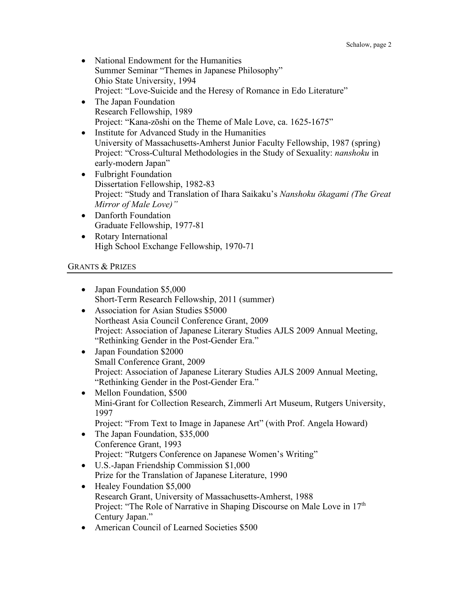- National Endowment for the Humanities Summer Seminar "Themes in Japanese Philosophy" Ohio State University, 1994 Project: "Love-Suicide and the Heresy of Romance in Edo Literature"
- The Japan Foundation Research Fellowship, 1989 Project: "Kana-zōshi on the Theme of Male Love, ca. 1625-1675"
- Institute for Advanced Study in the Humanities University of Massachusetts-Amherst Junior Faculty Fellowship, 1987 (spring) Project: "Cross-Cultural Methodologies in the Study of Sexuality: *nanshoku* in early-modern Japan"
- Fulbright Foundation Dissertation Fellowship, 1982-83 Project: "Study and Translation of Ihara Saikaku's *Nanshoku ōkagami (The Great Mirror of Male Love)"*
- Danforth Foundation Graduate Fellowship, 1977-81
- Rotary International High School Exchange Fellowship, 1970-71

# GRANTS & PRIZES

- Japan Foundation \$5,000 Short-Term Research Fellowship, 2011 (summer)
- Association for Asian Studies \$5000 Northeast Asia Council Conference Grant, 2009 Project: Association of Japanese Literary Studies AJLS 2009 Annual Meeting, "Rethinking Gender in the Post-Gender Era."
- Japan Foundation \$2000 Small Conference Grant, 2009 Project: Association of Japanese Literary Studies AJLS 2009 Annual Meeting, "Rethinking Gender in the Post-Gender Era."
- Mellon Foundation, \$500 Mini-Grant for Collection Research, Zimmerli Art Museum, Rutgers University, 1997
	- Project: "From Text to Image in Japanese Art" (with Prof. Angela Howard)
- The Japan Foundation, \$35,000 Conference Grant, 1993 Project: "Rutgers Conference on Japanese Women's Writing"
- U.S.-Japan Friendship Commission \$1,000 Prize for the Translation of Japanese Literature, 1990
- Healey Foundation \$5,000 Research Grant, University of Massachusetts-Amherst, 1988 Project: "The Role of Narrative in Shaping Discourse on Male Love in  $17<sup>th</sup>$ Century Japan."
- American Council of Learned Societies \$500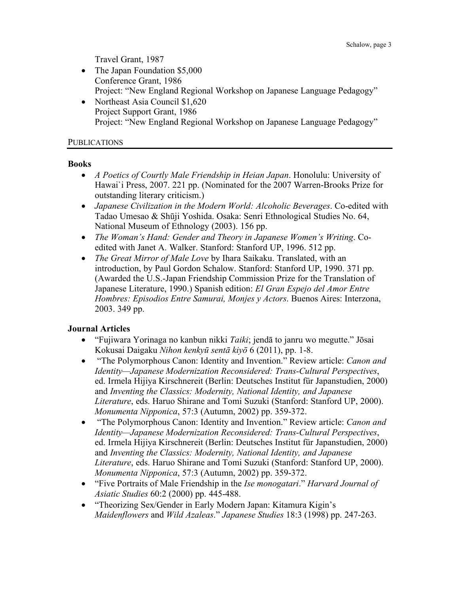Travel Grant, 1987

- The Japan Foundation \$5,000 Conference Grant, 1986 Project: "New England Regional Workshop on Japanese Language Pedagogy"
- Northeast Asia Council \$1,620 Project Support Grant, 1986 Project: "New England Regional Workshop on Japanese Language Pedagogy"

#### PUBLICATIONS

#### **Books**

- *A Poetics of Courtly Male Friendship in Heian Japan*. Honolulu: University of Hawai`i Press, 2007. 221 pp. (Nominated for the 2007 Warren-Brooks Prize for outstanding literary criticism.)
- *Japanese Civilization in the Modern World: Alcoholic Beverages*. Co-edited with Tadao Umesao & Shūji Yoshida. Osaka: Senri Ethnological Studies No. 64, National Museum of Ethnology (2003). 156 pp.
- *The Woman's Hand: Gender and Theory in Japanese Women's Writing*. Coedited with Janet A. Walker. Stanford: Stanford UP, 1996. 512 pp.
- *The Great Mirror of Male Love* by Ihara Saikaku. Translated, with an introduction, by Paul Gordon Schalow. Stanford: Stanford UP, 1990. 371 pp. (Awarded the U.S.-Japan Friendship Commission Prize for the Translation of Japanese Literature, 1990.) Spanish edition: *El Gran Espejo del Amor Entre Hombres: Episodios Entre Samurai, Monjes y Actors*. Buenos Aires: Interzona, 2003. 349 pp.

# **Journal Articles**

- "Fujiwara Yorinaga no kanbun nikki *Taiki*; jendā to janru wo megutte." Jōsai Kokusai Daigaku *Nihon kenkyū sentā kiyō* 6 (2011), pp. 1-8.
- "The Polymorphous Canon: Identity and Invention." Review article: *Canon and Identity—Japanese Modernization Reconsidered: Trans-Cultural Perspectives*, ed. Irmela Hijiya Kirschnereit (Berlin: Deutsches Institut für Japanstudien, 2000) and *Inventing the Classics: Modernity, National Identity, and Japanese Literature*, eds. Haruo Shirane and Tomi Suzuki (Stanford: Stanford UP, 2000). *Monumenta Nipponica*, 57:3 (Autumn, 2002) pp. 359-372.
- "The Polymorphous Canon: Identity and Invention." Review article: *Canon and Identity—Japanese Modernization Reconsidered: Trans-Cultural Perspectives*, ed. Irmela Hijiya Kirschnereit (Berlin: Deutsches Institut für Japanstudien, 2000) and *Inventing the Classics: Modernity, National Identity, and Japanese Literature*, eds. Haruo Shirane and Tomi Suzuki (Stanford: Stanford UP, 2000). *Monumenta Nipponica*, 57:3 (Autumn, 2002) pp. 359-372.
- "Five Portraits of Male Friendship in the *Ise monogatari*." *Harvard Journal of Asiatic Studies* 60:2 (2000) pp. 445-488.
- "Theorizing Sex/Gender in Early Modern Japan: Kitamura Kigin's *Maidenflowers* and *Wild Azaleas*." *Japanese Studies* 18:3 (1998) pp. 247-263.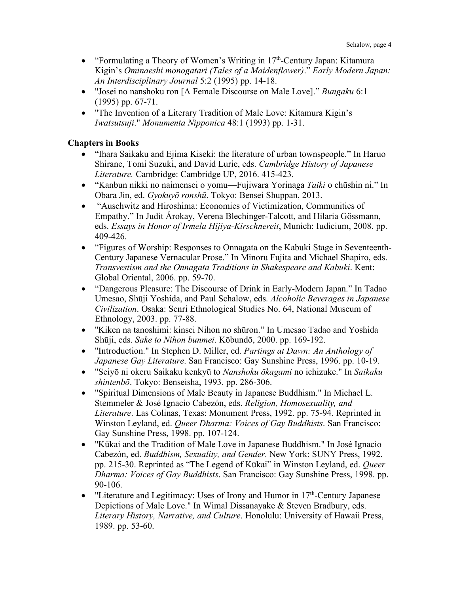- "Formulating a Theory of Women's Writing in  $17<sup>th</sup>$ -Century Japan: Kitamura Kigin's *Ominaeshi monogatari (Tales of a Maidenflower)*." *Early Modern Japan: An Interdisciplinary Journal* 5:2 (1995) pp. 14-18.
- "Josei no nanshoku ron [A Female Discourse on Male Love]." *Bungaku* 6:1 (1995) pp. 67-71.
- "The Invention of a Literary Tradition of Male Love: Kitamura Kigin's *Iwatsutsuji*." *Monumenta Nipponica* 48:1 (1993) pp. 1-31.

# **Chapters in Books**

- "Ihara Saikaku and Ejima Kiseki: the literature of urban townspeople." In Haruo Shirane, Tomi Suzuki, and David Lurie, eds. *Cambridge History of Japanese Literature.* Cambridge: Cambridge UP, 2016. 415-423.
- "Kanbun nikki no naimensei o yomu—Fujiwara Yorinaga *Taiki* o chūshin ni." In Obara Jin, ed. *Gyokuyō ronshū*. Tokyo: Bensei Shuppan, 2013.
- "Auschwitz and Hiroshima: Economies of Victimization, Communities of Empathy." In Judit Árokay, Verena Blechinger-Talcott, and Hilaria Gössmann, eds. *Essays in Honor of Irmela Hijiya-Kirschnereit*, Munich: Iudicium, 2008. pp. 409-426.
- "Figures of Worship: Responses to Onnagata on the Kabuki Stage in Seventeenth-Century Japanese Vernacular Prose." In Minoru Fujita and Michael Shapiro, eds. *Transvestism and the Onnagata Traditions in Shakespeare and Kabuki*. Kent: Global Oriental, 2006. pp. 59-70.
- "Dangerous Pleasure: The Discourse of Drink in Early-Modern Japan." In Tadao Umesao, Shūji Yoshida, and Paul Schalow, eds. *Alcoholic Beverages in Japanese Civilization*. Osaka: Senri Ethnological Studies No. 64, National Museum of Ethnology, 2003. pp. 77-88.
- "Kiken na tanoshimi: kinsei Nihon no shūron." In Umesao Tadao and Yoshida Shūji, eds. *Sake to Nihon bunmei*. Kōbundō, 2000. pp. 169-192.
- "Introduction." In Stephen D. Miller, ed. *Partings at Dawn: An Anthology of Japanese Gay Literature*. San Francisco: Gay Sunshine Press, 1996. pp. 10-19.
- "Seiyō ni okeru Saikaku kenkyū to *Nanshoku ōkagami* no ichizuke." In *Saikaku shintenbō*. Tokyo: Benseisha, 1993. pp. 286-306.
- "Spiritual Dimensions of Male Beauty in Japanese Buddhism." In Michael L. Stemmeler & José Ignacio Cabezón, eds. *Religion, Homosexuality, and Literature*. Las Colinas, Texas: Monument Press, 1992. pp. 75-94. Reprinted in Winston Leyland, ed. *Queer Dharma: Voices of Gay Buddhists*. San Francisco: Gay Sunshine Press, 1998. pp. 107-124.
- "Kūkai and the Tradition of Male Love in Japanese Buddhism." In José Ignacio Cabezón, ed. *Buddhism, Sexuality, and Gender*. New York: SUNY Press, 1992. pp. 215-30. Reprinted as "The Legend of Kūkai" in Winston Leyland, ed. *Queer Dharma: Voices of Gay Buddhists*. San Francisco: Gay Sunshine Press, 1998. pp. 90-106.
- "Literature and Legitimacy: Uses of Irony and Humor in  $17<sup>th</sup>$ -Century Japanese Depictions of Male Love." In Wimal Dissanayake & Steven Bradbury, eds. *Literary History, Narrative, and Culture*. Honolulu: University of Hawaii Press, 1989. pp. 53-60.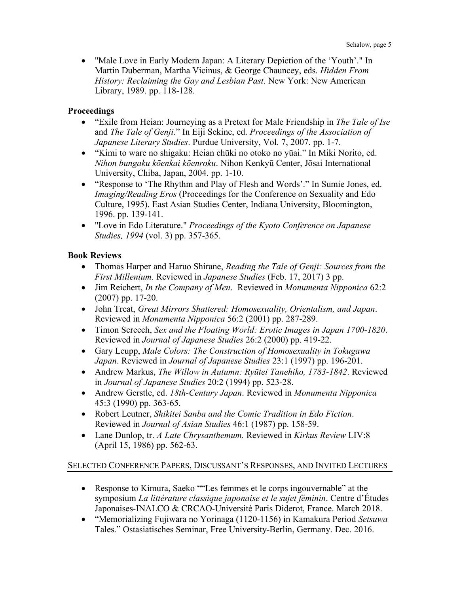• "Male Love in Early Modern Japan: A Literary Depiction of the 'Youth'." In Martin Duberman, Martha Vicinus, & George Chauncey, eds. *Hidden From History: Reclaiming the Gay and Lesbian Past*. New York: New American Library, 1989. pp. 118-128.

### **Proceedings**

- "Exile from Heian: Journeying as a Pretext for Male Friendship in *The Tale of Ise* and *The Tale of Genji*." In Eiji Sekine, ed. *Proceedings of the Association of Japanese Literary Studies*. Purdue University, Vol. 7, 2007. pp. 1-7.
- "Kimi to ware no shigaku: Heian chūki no otoko no yūai." In Miki Norito, ed. *Nihon bungaku kōenkai kōenroku*. Nihon Kenkyū Center, Jōsai International University, Chiba, Japan, 2004. pp. 1-10.
- "Response to 'The Rhythm and Play of Flesh and Words'." In Sumie Jones, ed. *Imaging/Reading Eros* (Proceedings for the Conference on Sexuality and Edo Culture, 1995). East Asian Studies Center, Indiana University, Bloomington, 1996. pp. 139-141.
- "Love in Edo Literature." *Proceedings of the Kyoto Conference on Japanese Studies, 1994* (vol. 3) pp. 357-365.

#### **Book Reviews**

- Thomas Harper and Haruo Shirane, *Reading the Tale of Genji: Sources from the First Millenium.* Reviewed in *Japanese Studies* (Feb. 17, 2017) 3 pp.
- Jim Reichert, *In the Company of Men*. Reviewed in *Monumenta Nipponica* 62:2 (2007) pp. 17-20.
- John Treat, *Great Mirrors Shattered: Homosexuality, Orientalism, and Japan*. Reviewed in *Monumenta Nipponica* 56:2 (2001) pp. 287-289.
- Timon Screech, *Sex and the Floating World: Erotic Images in Japan 1700-1820*. Reviewed in *Journal of Japanese Studies* 26:2 (2000) pp. 419-22.
- Gary Leupp, *Male Colors: The Construction of Homosexuality in Tokugawa Japan*. Reviewed in *Journal of Japanese Studies* 23:1 (1997) pp. 196-201.
- Andrew Markus, *The Willow in Autumn: Ryūtei Tanehiko, 1783-1842*. Reviewed in *Journal of Japanese Studies* 20:2 (1994) pp. 523-28.
- Andrew Gerstle, ed. *18th-Century Japan*. Reviewed in *Monumenta Nipponica* 45:3 (1990) pp. 363-65.
- Robert Leutner, *Shikitei Sanba and the Comic Tradition in Edo Fiction*. Reviewed in *Journal of Asian Studies* 46:1 (1987) pp. 158-59.
- Lane Dunlop, tr. *A Late Chrysanthemum.* Reviewed in *Kirkus Review* LIV:8 (April 15, 1986) pp. 562-63.

# SELECTED CONFERENCE PAPERS, DISCUSSANT'S RESPONSES, AND INVITED LECTURES

- Response to Kimura, Saeko ""Les femmes et le corps ingouvernable" at the symposium *La littérature classique japonaise et le sujet féminin*. Centre d'Études Japonaises-INALCO & CRCAO-Université Paris Diderot, France. March 2018.
- "Memorializing Fujiwara no Yorinaga (1120-1156) in Kamakura Period *Setsuwa* Tales." Ostasiatisches Seminar, Free University-Berlin, Germany. Dec. 2016.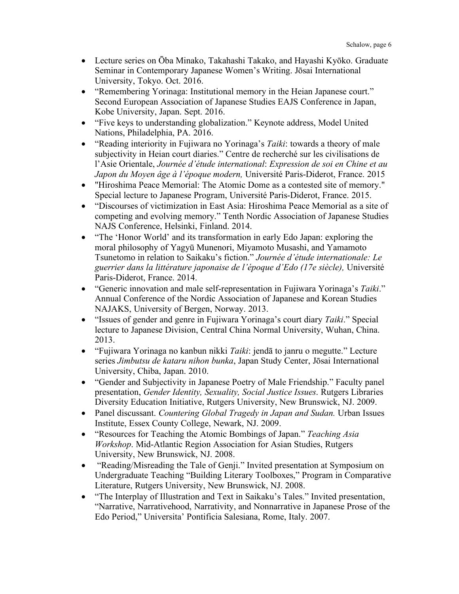- Lecture series on Ōba Minako, Takahashi Takako, and Hayashi Kyōko. Graduate Seminar in Contemporary Japanese Women's Writing. Jōsai International University, Tokyo. Oct. 2016.
- "Remembering Yorinaga: Institutional memory in the Heian Japanese court." Second European Association of Japanese Studies EAJS Conference in Japan, Kobe University, Japan. Sept. 2016.
- "Five keys to understanding globalization." Keynote address, Model United Nations, Philadelphia, PA. 2016.
- "Reading interiority in Fujiwara no Yorinaga's *Taiki*: towards a theory of male subjectivity in Heian court diaries." Centre de recherché sur les civilisations de l'Asie Orientale, *Journée d'étude international*: *Expression de soi en Chine et au Japon du Moyen âge à l'époque modern,* Université Paris-Diderot, France. 2015
- "Hiroshima Peace Memorial: The Atomic Dome as a contested site of memory." Special lecture to Japanese Program, Université Paris-Diderot, France. 2015.
- "Discourses of victimization in East Asia: Hiroshima Peace Memorial as a site of competing and evolving memory." Tenth Nordic Association of Japanese Studies NAJS Conference, Helsinki, Finland. 2014.
- "The 'Honor World' and its transformation in early Edo Japan: exploring the moral philosophy of Yagyū Munenori, Miyamoto Musashi, and Yamamoto Tsunetomo in relation to Saikaku's fiction." *Journée d'étude internationale: Le guerrier dans la littérature japonaise de l'époque d'Edo (17e siècle),* Université Paris-Diderot, France. 2014.
- "Generic innovation and male self-representation in Fujiwara Yorinaga's *Taiki*." Annual Conference of the Nordic Association of Japanese and Korean Studies NAJAKS, University of Bergen, Norway. 2013.
- "Issues of gender and genre in Fujiwara Yorinaga's court diary *Taiki*." Special lecture to Japanese Division, Central China Normal University, Wuhan, China. 2013.
- "Fujiwara Yorinaga no kanbun nikki *Taiki*: jendā to janru o megutte." Lecture series *Jimbutsu de kataru nihon bunka*, Japan Study Center, Jōsai International University, Chiba, Japan. 2010.
- "Gender and Subjectivity in Japanese Poetry of Male Friendship." Faculty panel presentation, *Gender Identity, Sexuality, Social Justice Issues*. Rutgers Libraries Diversity Education Initiative, Rutgers University, New Brunswick, NJ. 2009.
- Panel discussant. *Countering Global Tragedy in Japan and Sudan.* Urban Issues Institute, Essex County College, Newark, NJ. 2009.
- "Resources for Teaching the Atomic Bombings of Japan." *Teaching Asia Workshop*. Mid-Atlantic Region Association for Asian Studies, Rutgers University, New Brunswick, NJ. 2008.
- "Reading/Misreading the Tale of Genji." Invited presentation at Symposium on Undergraduate Teaching "Building Literary Toolboxes," Program in Comparative Literature, Rutgers University, New Brunswick, NJ. 2008.
- "The Interplay of Illustration and Text in Saikaku's Tales." Invited presentation, "Narrative, Narrativehood, Narrativity, and Nonnarrative in Japanese Prose of the Edo Period," Universita' Pontificia Salesiana, Rome, Italy. 2007.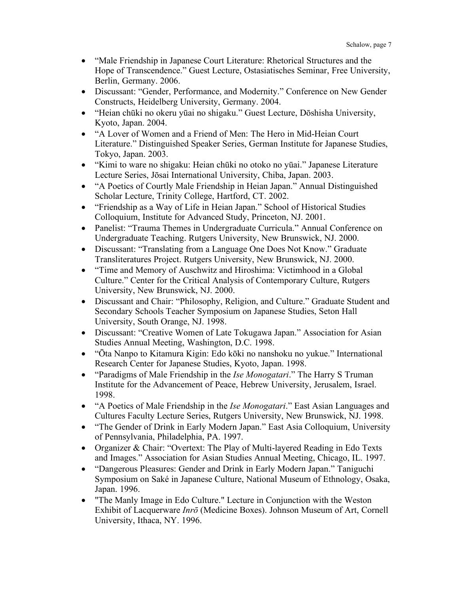- "Male Friendship in Japanese Court Literature: Rhetorical Structures and the Hope of Transcendence." Guest Lecture, Ostasiatisches Seminar, Free University, Berlin, Germany. 2006.
- Discussant: "Gender, Performance, and Modernity." Conference on New Gender Constructs, Heidelberg University, Germany. 2004.
- "Heian chūki no okeru yūai no shigaku." Guest Lecture, Dōshisha University, Kyoto, Japan. 2004.
- "A Lover of Women and a Friend of Men: The Hero in Mid-Heian Court Literature." Distinguished Speaker Series, German Institute for Japanese Studies, Tokyo, Japan. 2003.
- "Kimi to ware no shigaku: Heian chūki no otoko no yūai." Japanese Literature Lecture Series, Jōsai International University, Chiba, Japan. 2003.
- "A Poetics of Courtly Male Friendship in Heian Japan." Annual Distinguished Scholar Lecture, Trinity College, Hartford, CT. 2002.
- "Friendship as a Way of Life in Heian Japan." School of Historical Studies Colloquium, Institute for Advanced Study, Princeton, NJ. 2001.
- Panelist: "Trauma Themes in Undergraduate Curricula." Annual Conference on Undergraduate Teaching. Rutgers University, New Brunswick, NJ. 2000.
- Discussant: "Translating from a Language One Does Not Know." Graduate Transliteratures Project. Rutgers University, New Brunswick, NJ. 2000.
- "Time and Memory of Auschwitz and Hiroshima: Victimhood in a Global Culture." Center for the Critical Analysis of Contemporary Culture, Rutgers University, New Brunswick, NJ. 2000.
- Discussant and Chair: "Philosophy, Religion, and Culture." Graduate Student and Secondary Schools Teacher Symposium on Japanese Studies, Seton Hall University, South Orange, NJ. 1998.
- Discussant: "Creative Women of Late Tokugawa Japan." Association for Asian Studies Annual Meeting, Washington, D.C. 1998.
- "Ōta Nanpo to Kitamura Kigin: Edo kōki no nanshoku no yukue." International Research Center for Japanese Studies, Kyoto, Japan. 1998.
- "Paradigms of Male Friendship in the *Ise Monogatari*." The Harry S Truman Institute for the Advancement of Peace, Hebrew University, Jerusalem, Israel. 1998.
- "A Poetics of Male Friendship in the *Ise Monogatari*." East Asian Languages and Cultures Faculty Lecture Series, Rutgers University, New Brunswick, NJ. 1998.
- "The Gender of Drink in Early Modern Japan." East Asia Colloquium, University of Pennsylvania, Philadelphia, PA. 1997.
- Organizer & Chair: "Overtext: The Play of Multi-layered Reading in Edo Texts and Images." Association for Asian Studies Annual Meeting, Chicago, IL. 1997.
- "Dangerous Pleasures: Gender and Drink in Early Modern Japan." Taniguchi Symposium on Saké in Japanese Culture, National Museum of Ethnology, Osaka, Japan. 1996.
- "The Manly Image in Edo Culture." Lecture in Conjunction with the Weston Exhibit of Lacquerware *Inrō* (Medicine Boxes). Johnson Museum of Art, Cornell University, Ithaca, NY. 1996.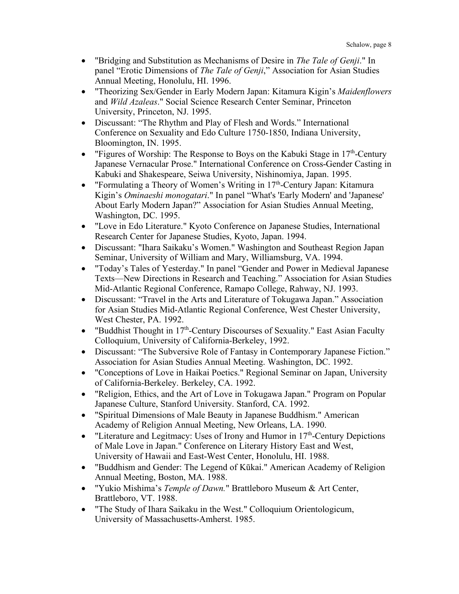- "Bridging and Substitution as Mechanisms of Desire in *The Tale of Genji*." In panel "Erotic Dimensions of *The Tale of Genji*," Association for Asian Studies Annual Meeting, Honolulu, HI. 1996.
- "Theorizing Sex/Gender in Early Modern Japan: Kitamura Kigin's *Maidenflowers* and *Wild Azaleas*." Social Science Research Center Seminar, Princeton University, Princeton, NJ. 1995.
- Discussant: "The Rhythm and Play of Flesh and Words." International Conference on Sexuality and Edo Culture 1750-1850, Indiana University, Bloomington, IN. 1995.
- "Figures of Worship: The Response to Boys on the Kabuki Stage in  $17<sup>th</sup>$ -Century Japanese Vernacular Prose." International Conference on Cross-Gender Casting in Kabuki and Shakespeare, Seiwa University, Nishinomiya, Japan. 1995.
- "Formulating a Theory of Women's Writing in 17<sup>th</sup>-Century Japan: Kitamura Kigin's *Ominaeshi monogatari*." In panel "What's 'Early Modern' and 'Japanese' About Early Modern Japan?" Association for Asian Studies Annual Meeting, Washington, DC. 1995.
- "Love in Edo Literature." Kyoto Conference on Japanese Studies, International Research Center for Japanese Studies, Kyoto, Japan. 1994.
- Discussant: "Ihara Saikaku's Women." Washington and Southeast Region Japan Seminar, University of William and Mary, Williamsburg, VA. 1994.
- "Today's Tales of Yesterday." In panel "Gender and Power in Medieval Japanese Texts—New Directions in Research and Teaching." Association for Asian Studies Mid-Atlantic Regional Conference, Ramapo College, Rahway, NJ. 1993.
- Discussant: "Travel in the Arts and Literature of Tokugawa Japan." Association for Asian Studies Mid-Atlantic Regional Conference, West Chester University, West Chester, PA. 1992.
- "Buddhist Thought in  $17<sup>th</sup>$ -Century Discourses of Sexuality." East Asian Faculty Colloquium, University of California-Berkeley, 1992.
- Discussant: "The Subversive Role of Fantasy in Contemporary Japanese Fiction." Association for Asian Studies Annual Meeting. Washington, DC. 1992.
- "Conceptions of Love in Haikai Poetics." Regional Seminar on Japan, University of California-Berkeley. Berkeley, CA. 1992.
- "Religion, Ethics, and the Art of Love in Tokugawa Japan." Program on Popular Japanese Culture, Stanford University. Stanford, CA. 1992.
- "Spiritual Dimensions of Male Beauty in Japanese Buddhism." American Academy of Religion Annual Meeting, New Orleans, LA. 1990.
- "Literature and Legitmacy: Uses of Irony and Humor in  $17<sup>th</sup>$ -Century Depictions of Male Love in Japan." Conference on Literary History East and West, University of Hawaii and East-West Center, Honolulu, HI. 1988.
- "Buddhism and Gender: The Legend of Kūkai." American Academy of Religion Annual Meeting, Boston, MA. 1988.
- "Yukio Mishima's *Temple of Dawn.*" Brattleboro Museum & Art Center, Brattleboro, VT. 1988.
- "The Study of Ihara Saikaku in the West." Colloquium Orientologicum, University of Massachusetts-Amherst. 1985.